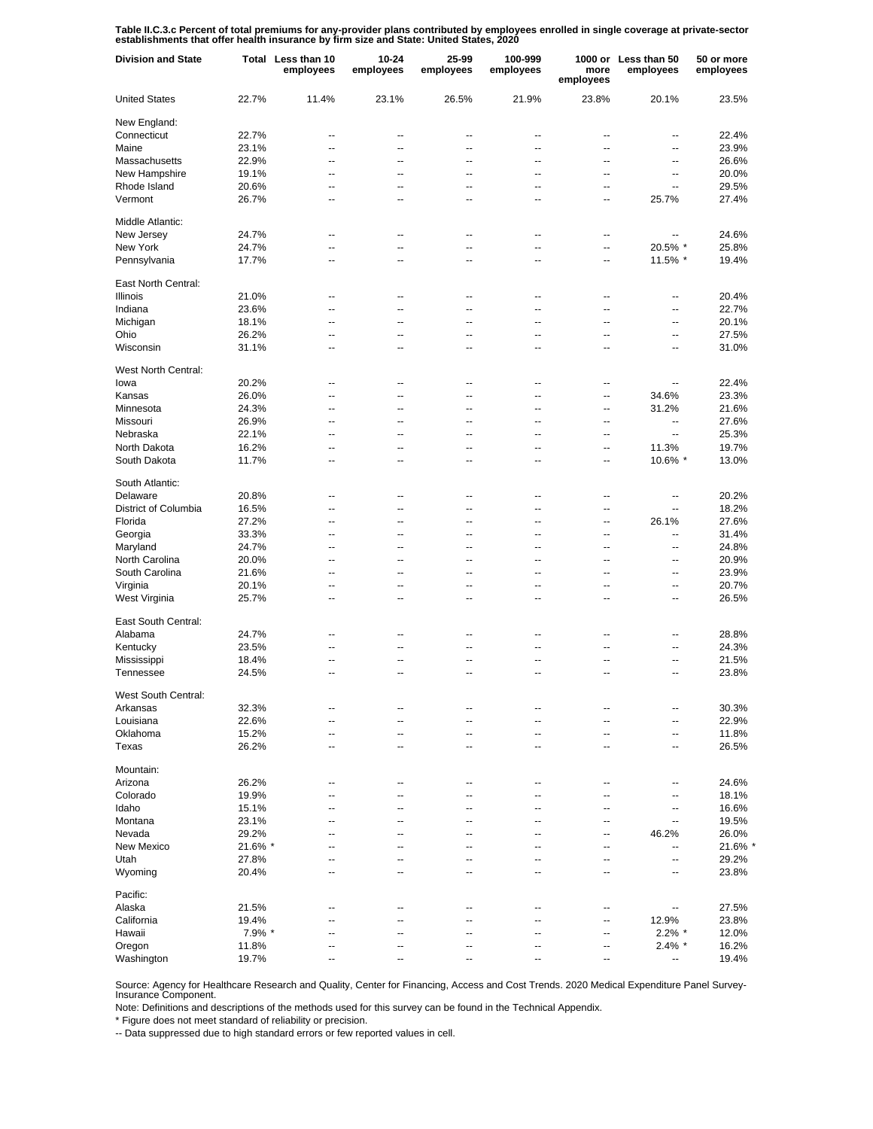Table II.C.3.c Percent of total premiums for any-provider plans contributed by employees enrolled in single coverage at private-sector<br>establishments that offer health insurance by firm size and State: United States, 2020

| <b>Division and State</b> |         | Total Less than 10<br>employees | 10-24<br>employees | 25-99<br>employees       | 100-999<br>employees | more<br>employees        | 1000 or Less than 50<br>employees | 50 or more<br>employees |
|---------------------------|---------|---------------------------------|--------------------|--------------------------|----------------------|--------------------------|-----------------------------------|-------------------------|
| <b>United States</b>      | 22.7%   | 11.4%                           | 23.1%              | 26.5%                    | 21.9%                | 23.8%                    | 20.1%                             | 23.5%                   |
| New England:              |         |                                 |                    |                          |                      |                          |                                   |                         |
| Connecticut               | 22.7%   | --                              | --                 | ٠.                       | --                   | --                       | --                                | 22.4%                   |
| Maine                     | 23.1%   | $\overline{a}$                  | --                 | $\overline{a}$           | $\overline{a}$       | $\overline{a}$           | --                                | 23.9%                   |
| Massachusetts             | 22.9%   | $\overline{a}$                  | --                 | $\overline{a}$           | $\overline{a}$       | $\overline{a}$           | --                                | 26.6%                   |
| New Hampshire             | 19.1%   | --                              | --                 | ٠.                       | --                   | --                       | --                                | 20.0%                   |
| Rhode Island              | 20.6%   | $\overline{a}$                  | --                 | $\overline{a}$           | $\overline{a}$       | $\overline{a}$           | $\overline{a}$                    | 29.5%                   |
| Vermont                   | 26.7%   | --                              | --                 | ٠.                       | --                   | --                       | 25.7%                             | 27.4%                   |
| Middle Atlantic:          |         |                                 |                    |                          |                      |                          |                                   |                         |
| New Jersey                | 24.7%   | $\overline{a}$                  | --                 | $\overline{a}$           | $\overline{a}$       | $\overline{a}$           | --                                | 24.6%                   |
| New York                  | 24.7%   | $\overline{a}$                  | Ξ.                 | Ξ.                       | Ξ.                   | Ξ.                       | 20.5% *                           | 25.8%                   |
| Pennsylvania              | 17.7%   | $\overline{a}$                  | --                 | $\overline{a}$           | Ξ.                   | $\overline{\phantom{a}}$ | 11.5% *                           | 19.4%                   |
| East North Central:       |         |                                 |                    |                          |                      |                          |                                   |                         |
| <b>Illinois</b>           | 21.0%   | --                              | --                 | --                       | --                   | --                       | --                                | 20.4%                   |
| Indiana                   | 23.6%   | --                              | --                 | --                       | --                   | --                       | --                                | 22.7%                   |
| Michigan                  | 18.1%   | --                              | --                 | ٠.                       | --                   | --                       | --                                | 20.1%                   |
| Ohio                      | 26.2%   | --                              | --                 | --                       | --                   | --                       | --                                | 27.5%                   |
| Wisconsin                 | 31.1%   | $\overline{a}$                  | --                 | $\overline{a}$           | $\overline{a}$       | $\overline{a}$           | Ξ.                                | 31.0%                   |
| West North Central:       |         |                                 |                    |                          |                      |                          |                                   |                         |
| lowa                      | 20.2%   | $\overline{a}$                  | --                 | ٠.                       | --                   | --                       | --                                | 22.4%                   |
| Kansas                    | 26.0%   | $\overline{a}$                  | --                 | $\overline{a}$           | $\overline{a}$       | --                       | 34.6%                             | 23.3%                   |
| Minnesota                 | 24.3%   | $\overline{a}$                  | --                 | $\overline{a}$           | $\overline{a}$       | --                       | 31.2%                             | 21.6%                   |
| Missouri                  | 26.9%   | --                              | --                 | --                       | --                   | --                       | --                                | 27.6%                   |
| Nebraska                  | 22.1%   | $\overline{a}$                  | --                 | $\overline{a}$           | $\overline{a}$       | $\overline{a}$           | $\overline{a}$                    | 25.3%                   |
| North Dakota              | 16.2%   | --                              | --                 | ٠.                       | --                   | --                       | 11.3%                             | 19.7%                   |
|                           |         | $\overline{a}$                  | --                 | $\overline{a}$           |                      |                          |                                   |                         |
| South Dakota              | 11.7%   |                                 |                    |                          | --                   | --                       | 10.6% *                           | 13.0%                   |
| South Atlantic:           |         |                                 |                    |                          |                      |                          |                                   |                         |
| Delaware                  | 20.8%   | $\overline{a}$                  | --                 | $\overline{a}$           | $\overline{a}$       | $\overline{a}$           | $\overline{a}$                    | 20.2%                   |
| District of Columbia      | 16.5%   | $\overline{a}$                  | Ξ.                 | Ξ.                       | Ξ.                   | ä.                       | Ξ.                                | 18.2%                   |
| Florida                   | 27.2%   | $\overline{a}$                  | --                 | $\overline{a}$           | $\overline{a}$       | ä.                       | 26.1%                             | 27.6%                   |
| Georgia                   | 33.3%   | $\overline{a}$                  | --                 | $\overline{a}$           | $\overline{a}$       | $\overline{a}$           | ц,                                | 31.4%                   |
| Maryland                  | 24.7%   | $\overline{a}$                  | --                 | $\overline{a}$           | $\overline{a}$       | $\overline{a}$           | ц,                                | 24.8%                   |
| North Carolina            | 20.0%   | $\overline{a}$                  | --                 | $\overline{a}$           | $\overline{a}$       | $\overline{a}$           | $\overline{a}$                    | 20.9%                   |
| South Carolina            | 21.6%   | $\overline{a}$                  | --                 | $\overline{a}$           | $\overline{a}$       | $\overline{a}$           | $\overline{a}$                    | 23.9%                   |
| Virginia                  | 20.1%   | $\overline{a}$                  | --                 | $\overline{a}$           | $\overline{a}$       | $\overline{a}$           | $\overline{a}$                    | 20.7%                   |
| West Virginia             | 25.7%   | $\overline{a}$                  | --                 | $\overline{a}$           | $\overline{a}$       | $\overline{a}$           | ٠.                                | 26.5%                   |
| East South Central:       |         |                                 |                    |                          |                      |                          |                                   |                         |
| Alabama                   | 24.7%   | --                              | --                 | ٠.                       | --                   | --                       | --                                | 28.8%                   |
| Kentucky                  | 23.5%   | $\overline{a}$                  | --                 | $\overline{a}$           | $\overline{a}$       | --                       | --                                | 24.3%                   |
| Mississippi               | 18.4%   | --                              | --                 | --                       | --                   | --                       | --                                | 21.5%                   |
| Tennessee                 | 24.5%   | $\overline{a}$                  | --                 | $\overline{a}$           | $\overline{a}$       | --                       | --                                | 23.8%                   |
| West South Central:       |         |                                 |                    |                          |                      |                          |                                   |                         |
| Arkansas                  | 32.3%   | --                              | --                 | --                       | --                   | --                       | --                                | 30.3%                   |
| Louisiana                 | 22.6%   | --                              | --                 | ٠.                       | --                   | --                       | --                                | 22.9%                   |
| Oklahoma                  | 15.2%   | --                              | $\overline{a}$     | --                       | --                   | $\overline{a}$           | --                                | 11.8%                   |
| Texas                     | 26.2%   | --                              | --                 | --                       | --                   | --                       | --                                | 26.5%                   |
| Mountain:                 |         |                                 |                    |                          |                      |                          |                                   |                         |
| Arizona                   | 26.2%   | $\overline{a}$                  | Ξ.                 | $\overline{a}$           | $\overline{a}$       | $\overline{a}$           | Ξ.                                | 24.6%                   |
| Colorado                  | 19.9%   | $\overline{a}$                  | Ξ.                 | Ξ.                       | Ξ.                   | $\overline{a}$           | Ξ.                                | 18.1%                   |
| Idaho                     | 15.1%   | $\overline{a}$                  | --                 | $\overline{a}$           | $\overline{a}$       | $\overline{a}$           | Ξ.                                | 16.6%                   |
| Montana                   | 23.1%   | $\overline{a}$                  | --                 | $\overline{a}$           | $\overline{a}$       | $\overline{a}$           | ÷.                                | 19.5%                   |
| Nevada                    | 29.2%   | --                              | --                 | $\overline{a}$           | $\overline{a}$       | $\overline{a}$           | 46.2%                             | 26.0%                   |
| New Mexico                | 21.6% * | $\overline{a}$                  | --                 | $\overline{a}$           | $\overline{a}$       | $\overline{a}$           | Ξ.                                | 21.6% *                 |
| Utah                      | 27.8%   | $\overline{a}$                  | --                 | $\overline{a}$           | $\overline{a}$       | $\overline{a}$           | Ξ.                                | 29.2%                   |
| Wyoming                   | 20.4%   | $\overline{a}$                  | --                 | $\overline{a}$           | $\overline{a}$       | $\overline{a}$           | Ξ.                                | 23.8%                   |
| Pacific:                  |         |                                 |                    |                          |                      |                          |                                   |                         |
| Alaska                    | 21.5%   | --                              | --                 | ٠.                       | --                   | --                       | --                                | 27.5%                   |
| California                | 19.4%   | ۵.                              |                    | ц.                       | ۵.                   | --                       | 12.9%                             | 23.8%                   |
| Hawaii                    | 7.9% *  | --                              | --                 | --                       | --                   | --                       | $2.2\%$ *                         | 12.0%                   |
| Oregon                    | 11.8%   | --                              | --                 | --                       | --                   | --                       | $2.4\%$ *                         | 16.2%                   |
| Washington                | 19.7%   | $\overline{\phantom{a}}$        | ۰.                 | $\overline{\phantom{a}}$ | --                   | --                       | --                                | 19.4%                   |

Source: Agency for Healthcare Research and Quality, Center for Financing, Access and Cost Trends. 2020 Medical Expenditure Panel Survey-Insurance Component.

Note: Definitions and descriptions of the methods used for this survey can be found in the Technical Appendix.

\* Figure does not meet standard of reliability or precision.

-- Data suppressed due to high standard errors or few reported values in cell.